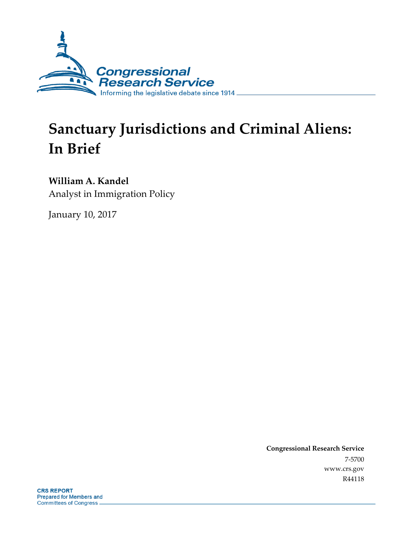

# **Sanctuary Jurisdictions and Criminal Aliens: In Brief**

## **William A. Kandel**

Analyst in Immigration Policy

January 10, 2017

**Congressional Research Service** 7-5700 www.crs.gov R44118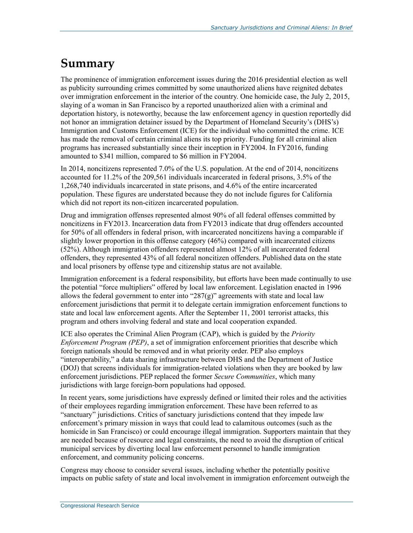### **Summary**

The prominence of immigration enforcement issues during the 2016 presidential election as well as publicity surrounding crimes committed by some unauthorized aliens have reignited debates over immigration enforcement in the interior of the country. One homicide case, the July 2, 2015, slaying of a woman in San Francisco by a reported unauthorized alien with a criminal and deportation history, is noteworthy, because the law enforcement agency in question reportedly did not honor an immigration detainer issued by the Department of Homeland Security's (DHS's) Immigration and Customs Enforcement (ICE) for the individual who committed the crime. ICE has made the removal of certain criminal aliens its top priority. Funding for all criminal alien programs has increased substantially since their inception in FY2004. In FY2016, funding amounted to \$341 million, compared to \$6 million in FY2004.

In 2014, noncitizens represented 7.0% of the U.S. population. At the end of 2014, noncitizens accounted for 11.2% of the 209,561 individuals incarcerated in federal prisons, 3.5% of the 1,268,740 individuals incarcerated in state prisons, and 4.6% of the entire incarcerated population. These figures are understated because they do not include figures for California which did not report its non-citizen incarcerated population.

Drug and immigration offenses represented almost 90% of all federal offenses committed by noncitizens in FY2013. Incarceration data from FY2013 indicate that drug offenders accounted for 50% of all offenders in federal prison, with incarcerated noncitizens having a comparable if slightly lower proportion in this offense category (46%) compared with incarcerated citizens (52%). Although immigration offenders represented almost 12% of all incarcerated federal offenders, they represented 43% of all federal noncitizen offenders. Published data on the state and local prisoners by offense type and citizenship status are not available.

Immigration enforcement is a federal responsibility, but efforts have been made continually to use the potential "force multipliers" offered by local law enforcement. Legislation enacted in 1996 allows the federal government to enter into " $287(g)$ " agreements with state and local law enforcement jurisdictions that permit it to delegate certain immigration enforcement functions to state and local law enforcement agents. After the September 11, 2001 terrorist attacks, this program and others involving federal and state and local cooperation expanded.

ICE also operates the Criminal Alien Program (CAP), which is guided by the *Priority Enforcement Program (PEP)*, a set of immigration enforcement priorities that describe which foreign nationals should be removed and in what priority order. PEP also employs "interoperability," a data sharing infrastructure between DHS and the Department of Justice (DOJ) that screens individuals for immigration-related violations when they are booked by law enforcement jurisdictions. PEP replaced the former *Secure Communities*, which many jurisdictions with large foreign-born populations had opposed.

In recent years, some jurisdictions have expressly defined or limited their roles and the activities of their employees regarding immigration enforcement. These have been referred to as "sanctuary" jurisdictions. Critics of sanctuary jurisdictions contend that they impede law enforcement's primary mission in ways that could lead to calamitous outcomes (such as the homicide in San Francisco) or could encourage illegal immigration. Supporters maintain that they are needed because of resource and legal constraints, the need to avoid the disruption of critical municipal services by diverting local law enforcement personnel to handle immigration enforcement, and community policing concerns.

Congress may choose to consider several issues, including whether the potentially positive impacts on public safety of state and local involvement in immigration enforcement outweigh the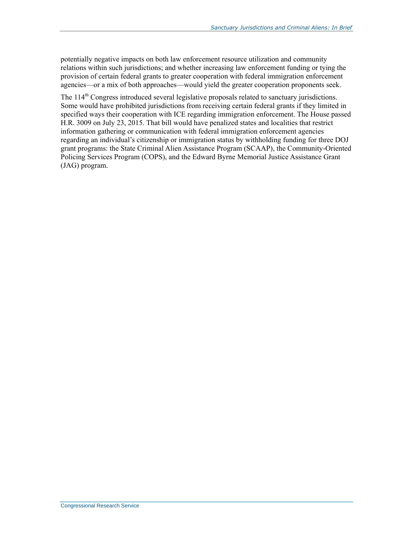potentially negative impacts on both law enforcement resource utilization and community relations within such jurisdictions; and whether increasing law enforcement funding or tying the provision of certain federal grants to greater cooperation with federal immigration enforcement agencies—or a mix of both approaches—would yield the greater cooperation proponents seek.

The 114<sup>th</sup> Congress introduced several legislative proposals related to sanctuary jurisdictions. Some would have prohibited jurisdictions from receiving certain federal grants if they limited in specified ways their cooperation with ICE regarding immigration enforcement. The House passed H.R. 3009 on July 23, 2015. That bill would have penalized states and localities that restrict information gathering or communication with federal immigration enforcement agencies regarding an individual's citizenship or immigration status by withholding funding for three DOJ grant programs: the State Criminal Alien Assistance Program (SCAAP), the Community-Oriented Policing Services Program (COPS), and the Edward Byrne Memorial Justice Assistance Grant (JAG) program.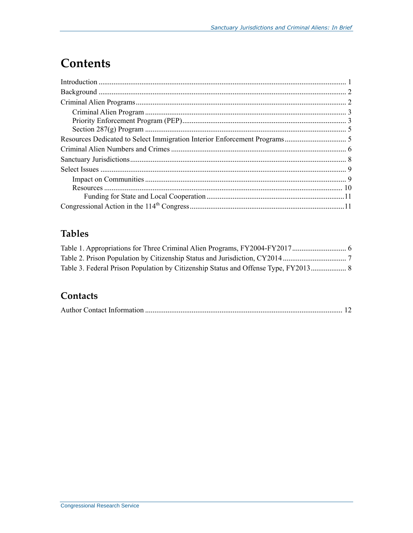### **Contents**

### **Tables**

#### Contacts

|--|--|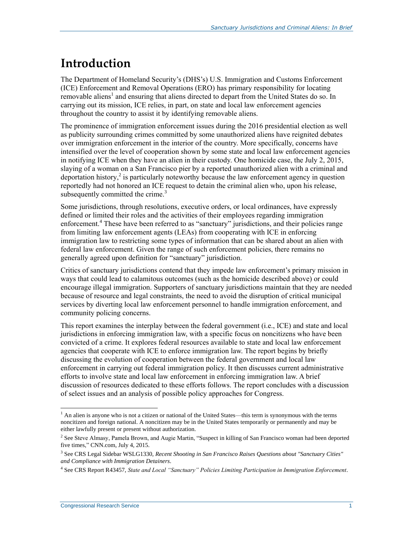### **Introduction**

The Department of Homeland Security's (DHS's) U.S. Immigration and Customs Enforcement (ICE) Enforcement and Removal Operations (ERO) has primary responsibility for locating removable aliens<sup>1</sup> and ensuring that aliens directed to depart from the United States do so. In carrying out its mission, ICE relies, in part, on state and local law enforcement agencies throughout the country to assist it by identifying removable aliens.

The prominence of immigration enforcement issues during the 2016 presidential election as well as publicity surrounding crimes committed by some unauthorized aliens have reignited debates over immigration enforcement in the interior of the country. More specifically, concerns have intensified over the level of cooperation shown by some state and local law enforcement agencies in notifying ICE when they have an alien in their custody. One homicide case, the July 2, 2015, slaying of a woman on a San Francisco pier by a reported unauthorized alien with a criminal and deportation history, 2 is particularly noteworthy because the law enforcement agency in question reportedly had not honored an ICE request to detain the criminal alien who, upon his release, subsequently committed the crime. $3$ 

Some jurisdictions, through resolutions, executive orders, or local ordinances, have expressly defined or limited their roles and the activities of their employees regarding immigration enforcement.<sup>4</sup> These have been referred to as "sanctuary" jurisdictions, and their policies range from limiting law enforcement agents (LEAs) from cooperating with ICE in enforcing immigration law to restricting some types of information that can be shared about an alien with federal law enforcement. Given the range of such enforcement policies, there remains no generally agreed upon definition for "sanctuary" jurisdiction.

Critics of sanctuary jurisdictions contend that they impede law enforcement's primary mission in ways that could lead to calamitous outcomes (such as the homicide described above) or could encourage illegal immigration. Supporters of sanctuary jurisdictions maintain that they are needed because of resource and legal constraints, the need to avoid the disruption of critical municipal services by diverting local law enforcement personnel to handle immigration enforcement, and community policing concerns.

This report examines the interplay between the federal government (i.e., ICE) and state and local jurisdictions in enforcing immigration law, with a specific focus on noncitizens who have been convicted of a crime. It explores federal resources available to state and local law enforcement agencies that cooperate with ICE to enforce immigration law. The report begins by briefly discussing the evolution of cooperation between the federal government and local law enforcement in carrying out federal immigration policy. It then discusses current administrative efforts to involve state and local law enforcement in enforcing immigration law. A brief discussion of resources dedicated to these efforts follows. The report concludes with a discussion of select issues and an analysis of possible policy approaches for Congress.

 $\overline{a}$ <sup>1</sup> An alien is anyone who is not a citizen or national of the United States—this term is synonymous with the terms noncitizen and foreign national. A noncitizen may be in the United States temporarily or permanently and may be either lawfully present or present without authorization.

<sup>&</sup>lt;sup>2</sup> See Steve Almasy, Pamela Brown, and Augie Martin, "Suspect in killing of San Francisco woman had been deported five times," CNN.com, July 4, 2015.

<sup>3</sup> See CRS Legal Sidebar WSLG1330, *Recent Shooting in San Francisco Raises Questions about "Sanctuary Cities" and Compliance with Immigration Detainers*.

<sup>4</sup> See CRS Report R43457, *State and Local "Sanctuary" Policies Limiting Participation in Immigration Enforcement*.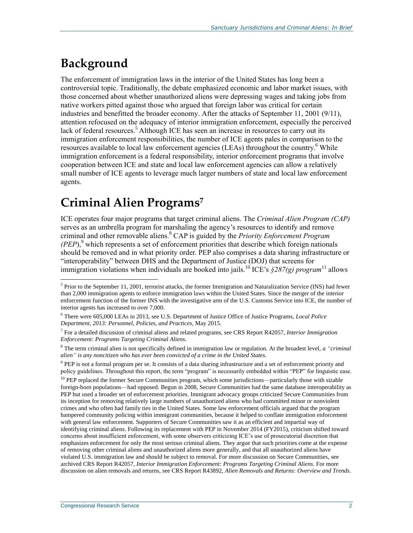## **Background**

 $\overline{a}$ 

The enforcement of immigration laws in the interior of the United States has long been a controversial topic. Traditionally, the debate emphasized economic and labor market issues, with those concerned about whether unauthorized aliens were depressing wages and taking jobs from native workers pitted against those who argued that foreign labor was critical for certain industries and benefitted the broader economy. After the attacks of September 11, 2001 (9/11), attention refocused on the adequacy of interior immigration enforcement, especially the perceived lack of federal resources.<sup>5</sup> Although ICE has seen an increase in resources to carry out its immigration enforcement responsibilities, the number of ICE agents pales in comparison to the resources available to local law enforcement agencies (LEAs) throughout the country.<sup>6</sup> While immigration enforcement is a federal responsibility, interior enforcement programs that involve cooperation between ICE and state and local law enforcement agencies can allow a relatively small number of ICE agents to leverage much larger numbers of state and local law enforcement agents.

### **Criminal Alien Programs<sup>7</sup>**

ICE operates four major programs that target criminal aliens. The *Criminal Alien Program (CAP)* serves as an umbrella program for marshaling the agency's resources to identify and remove criminal and other removable aliens.<sup>8</sup> CAP is guided by the *Priority Enforcement Program*   $(PEP)$ ,<sup>9</sup> which represents a set of enforcement priorities that describe which foreign nationals should be removed and in what priority order. PEP also comprises a data sharing infrastructure or "interoperability" between DHS and the Department of Justice (DOJ) that screens for immigration violations when individuals are booked into jails.<sup>10</sup> ICE's *§287(g) program*<sup>11</sup> allows

 $<sup>5</sup>$  Prior to the September 11, 2001, terrorist attacks, the former Immigration and Naturalization Service (INS) had fewer</sup> than 2,000 immigration agents to enforce immigration laws within the United States. Since the merger of the interior enforcement function of the former INS with the investigative arm of the U.S. Customs Service into ICE, the number of interior agents has increased to over 7,000.

<sup>6</sup> There were 605,000 LEAs in 2013, see U.S. Department of Justice Office of Justice Programs, *Local Police Department, 2013: Personnel, Policies, and Practices*, May 2015.

<sup>7</sup> For a detailed discussion of criminal aliens and related programs, see CRS Report R42057, *Interior Immigration Enforcement: Programs Targeting Criminal Aliens*.

<sup>8</sup> The term criminal alien is not specifically defined in immigration law or regulation. At the broadest level, *a "criminal alien" is any noncitizen who has ever been convicted of a crime in the United States*.

<sup>&</sup>lt;sup>9</sup> PEP is not a formal program per se. It consists of a data sharing infrastructure and a set of enforcement priority and policy guidelines. Throughout this report, the term "program" is necessarily embedded within "PEP" for linguistic ease.

 $10$  PEP replaced the former Secure Communities program, which some jurisdictions—particularly those with sizable foreign-born populations—had opposed. Begun in 2008, Secure Communities had the same database interoperability as PEP but used a broader set of enforcement priorities. Immigrant advocacy groups criticized Secure Communities from its inception for removing relatively large numbers of unauthorized aliens who had committed minor or nonviolent crimes and who often had family ties in the United States. Some law enforcement officials argued that the program hampered community policing within immigrant communities, because it helped to conflate immigration enforcement with general law enforcement. Supporters of Secure Communities saw it as an efficient and impartial way of identifying criminal aliens. Following its replacement with PEP in November 2014 (FY2015), criticism shifted toward concerns about insufficient enforcement, with some observers criticizing ICE's use of prosecutorial discretion that emphasizes enforcement for only the most serious criminal aliens. They argue that such priorities come at the expense of removing other criminal aliens and unauthorized aliens more generally, and that all unauthorized aliens have violated U.S. immigration law and should be subject to removal. For more discussion on Secure Communities, see archived CRS Report R42057, *Interior Immigration Enforcement: Programs Targeting Criminal Aliens*. For more discussion on alien removals and returns, see CRS Report R43892, *Alien Removals and Returns: Overview and Trends*.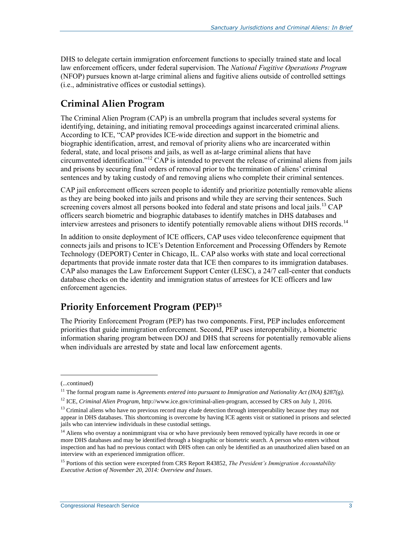DHS to delegate certain immigration enforcement functions to specially trained state and local law enforcement officers, under federal supervision. The *National Fugitive Operations Program* (NFOP) pursues known at-large criminal aliens and fugitive aliens outside of controlled settings (i.e., administrative offices or custodial settings).

#### **Criminal Alien Program**

The Criminal Alien Program (CAP) is an umbrella program that includes several systems for identifying, detaining, and initiating removal proceedings against incarcerated criminal aliens. According to ICE, "CAP provides ICE-wide direction and support in the biometric and biographic identification, arrest, and removal of priority aliens who are incarcerated within federal, state, and local prisons and jails, as well as at-large criminal aliens that have circumvented identification."<sup>12</sup> CAP is intended to prevent the release of criminal aliens from jails and prisons by securing final orders of removal prior to the termination of aliens' criminal sentences and by taking custody of and removing aliens who complete their criminal sentences.

CAP jail enforcement officers screen people to identify and prioritize potentially removable aliens as they are being booked into jails and prisons and while they are serving their sentences. Such screening covers almost all persons booked into federal and state prisons and local jails.<sup>13</sup> CAP officers search biometric and biographic databases to identify matches in DHS databases and interview arrestees and prisoners to identify potentially removable aliens without DHS records.<sup>14</sup>

In addition to onsite deployment of ICE officers, CAP uses video teleconference equipment that connects jails and prisons to ICE's Detention Enforcement and Processing Offenders by Remote Technology (DEPORT) Center in Chicago, IL. CAP also works with state and local correctional departments that provide inmate roster data that ICE then compares to its immigration databases. CAP also manages the Law Enforcement Support Center (LESC), a 24/7 call-center that conducts database checks on the identity and immigration status of arrestees for ICE officers and law enforcement agencies.

### **Priority Enforcement Program (PEP)<sup>15</sup>**

The Priority Enforcement Program (PEP) has two components. First, PEP includes enforcement priorities that guide immigration enforcement. Second, PEP uses interoperability, a biometric information sharing program between DOJ and DHS that screens for potentially removable aliens when individuals are arrested by state and local law enforcement agents.

<sup>(...</sup>continued)

<sup>&</sup>lt;sup>11</sup> The formal program name is *Agreements entered into pursuant to Immigration and Nationality Act (INA) §287(g)*.

<sup>12</sup> ICE, *Criminal Alien Program*, http://www.ice.gov/criminal-alien-program, accessed by CRS on July 1, 2016.

 $<sup>13</sup>$  Criminal aliens who have no previous record may elude detection through interoperability because they may not</sup> appear in DHS databases. This shortcoming is overcome by having ICE agents visit or stationed in prisons and selected jails who can interview individuals in these custodial settings.

<sup>&</sup>lt;sup>14</sup> Aliens who overstay a nonimmigrant visa or who have previously been removed typically have records in one or more DHS databases and may be identified through a biographic or biometric search. A person who enters without inspection and has had no previous contact with DHS often can only be identified as an unauthorized alien based on an interview with an experienced immigration officer.

<sup>15</sup> Portions of this section were excerpted from CRS Report R43852, *The President's Immigration Accountability Executive Action of November 20, 2014: Overview and Issues*.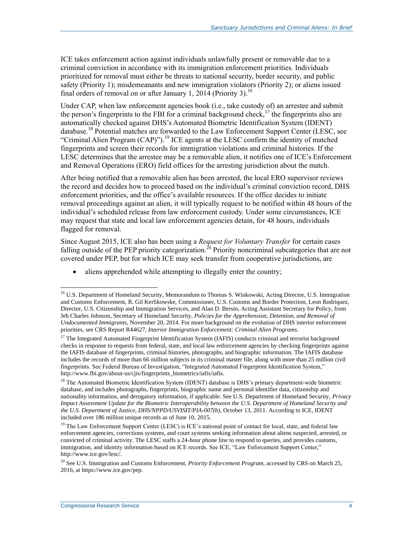ICE takes enforcement action against individuals unlawfully present or removable due to a criminal conviction in accordance with its immigration enforcement priorities. Individuals prioritized for removal must either be threats to national security, border security, and public safety (Priority 1); misdemeanants and new immigration violators (Priority 2); or aliens issued final orders of removal on or after January 1, 2014 (Priority 3).<sup>16</sup>

Under CAP, when law enforcement agencies book (i.e., take custody of) an arrestee and submit the person's fingerprints to the FBI for a criminal background check,<sup>17</sup> the fingerprints also are automatically checked against DHS's Automated Biometric Identification System (IDENT) database.<sup>18</sup> Potential matches are forwarded to the Law Enforcement Support Center (LESC, see "Criminal Alien Program (CAP)").<sup>19</sup> ICE agents at the LESC confirm the identity of matched fingerprints and screen their records for immigration violations and criminal histories. If the LESC determines that the arrestee may be a removable alien, it notifies one of ICE's Enforcement and Removal Operations (ERO) field offices for the arresting jurisdiction about the match.

After being notified that a removable alien has been arrested, the local ERO supervisor reviews the record and decides how to proceed based on the individual's criminal conviction record, DHS enforcement priorities, and the office's available resources. If the office decides to initiate removal proceedings against an alien, it will typically request to be notified within 48 hours of the individual's scheduled release from law enforcement custody. Under some circumstances, ICE may request that state and local law enforcement agencies detain, for 48 hours, individuals flagged for removal.

Since August 2015, ICE also has been using a *Request for Voluntary Transfer* for certain cases falling outside of the PEP priority categorization.<sup>20</sup> Priority noncriminal subcategories that are not covered under PEP, but for which ICE may seek transfer from cooperative jurisdictions, are

• aliens apprehended while attempting to illegally enter the country;

<sup>&</sup>lt;sup>16</sup> U.S. Department of Homeland Security, Memorandum to Thomas S. Winkowski, Acting Director, U.S. Immigration and Customs Enforcement, R. Gil Kerlikowske, Commissioner, U.S. Customs and Border Protection, Leon Rodriquez, Director, U.S. Citizenship and Immigration Services, and Alan D. Bersin, Acting Assistant Secretary for Policy, from Jeh Charles Johnson, Secretary of Homeland Security, *Policies for the Apprehension, Detention, and Removal of Undocumented Immigrants*, November 20, 2014. For more background on the evolution of DHS interior enforcement priorities, see CRS Report R44627, *Interior Immigration Enforcement: Criminal Alien Programs*.

<sup>&</sup>lt;sup>17</sup> The Integrated Automated Fingerprint Identification System (IAFIS) conducts criminal and terrorist background checks in response to requests from federal, state, and local law enforcement agencies by checking fingerprints against the IAFIS database of fingerprints, criminal histories, photographs, and biographic information. The IAFIS database includes the records of more than 66 million subjects in its criminal master file, along with more than 25 million civil fingerprints. See Federal Bureau of Investigation, "Integrated Automated Fingerprint Identification System," http://www.fbi.gov/about-us/cjis/fingerprints\_biometrics/iafis/iafis.

<sup>&</sup>lt;sup>18</sup> The Automated Biometric Identification System (IDENT) database is DHS's primary department-wide biometric database, and includes photographs, fingerprints, biographic name and personal identifier data, citizenship and nationality information, and derogatory information, if applicable. See U.S. Department of Homeland Security, *Privacy Impact Assessment Update for the Biometric Interoperability between the U.S. Department of Homeland Security and the U.S. Department of Justice, DHS/NPPD/USVISIT/PIA-007(b)*, October 13, 2011. According to ICE, IDENT included over 186 million unique records as of June 10, 2015.

<sup>&</sup>lt;sup>19</sup> The Law Enforcement Support Center (LESC) is ICE's national point of contact for local, state, and federal law enforcement agencies, corrections systems, and court systems seeking information about aliens suspected, arrested, or convicted of criminal activity. The LESC staffs a 24-hour phone line to respond to queries, and provides customs, immigration, and identity information based on ICE records. See ICE, "Law Enforcement Support Center," http://www.ice.gov/lesc/.

<sup>&</sup>lt;sup>20</sup> See U.S. Immigration and Customs Enforcement, *Priority Enforcement Program*, accessed by CRS on March 25, 2016, at https://www.ice.gov/pep.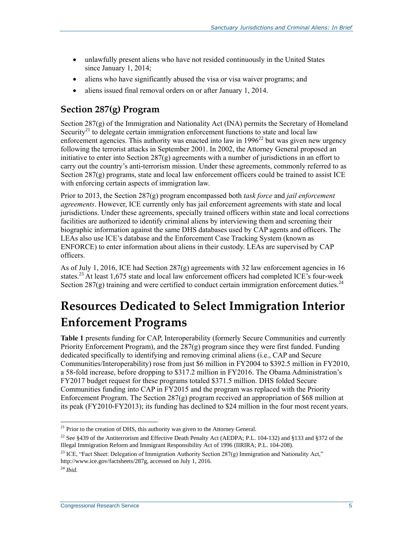- unlawfully present aliens who have not resided continuously in the United States since January 1, 2014;
- aliens who have significantly abused the visa or visa waiver programs; and
- aliens issued final removal orders on or after January 1, 2014.

#### **Section 287(g) Program**

Section  $287(g)$  of the Immigration and Nationality Act (INA) permits the Secretary of Homeland Security<sup>21</sup> to delegate certain immigration enforcement functions to state and local law enforcement agencies. This authority was enacted into law in  $1996^{22}$  but was given new urgency following the terrorist attacks in September 2001. In 2002, the Attorney General proposed an initiative to enter into Section 287(g) agreements with a number of jurisdictions in an effort to carry out the country's anti-terrorism mission. Under these agreements, commonly referred to as Section  $287(g)$  programs, state and local law enforcement officers could be trained to assist ICE with enforcing certain aspects of immigration law.

Prior to 2013, the Section 287(g) program encompassed both *task force* and *jail enforcement agreements*. However, ICE currently only has jail enforcement agreements with state and local jurisdictions. Under these agreements, specially trained officers within state and local corrections facilities are authorized to identify criminal aliens by interviewing them and screening their biographic information against the same DHS databases used by CAP agents and officers. The LEAs also use ICE's database and the Enforcement Case Tracking System (known as ENFORCE) to enter information about aliens in their custody. LEAs are supervised by CAP officers.

As of July 1, 2016, ICE had Section 287 $(g)$  agreements with 32 law enforcement agencies in 16 states.<sup>23</sup> At least 1,675 state and local law enforcement officers had completed ICE's four-week Section 287(g) training and were certified to conduct certain immigration enforcement duties.<sup>24</sup>

### **Resources Dedicated to Select Immigration Interior Enforcement Programs**

**[Table 1](#page-9-0)** presents funding for CAP, Interoperability (formerly Secure Communities and currently Priority Enforcement Program), and the 287(g) program since they were first funded. Funding dedicated specifically to identifying and removing criminal aliens (i.e., CAP and Secure Communities/Interoperability) rose from just \$6 million in FY2004 to \$392.5 million in FY2010, a 58-fold increase, before dropping to \$317.2 million in FY2016. The Obama Administration's FY2017 budget request for these programs totaled \$371.5 million. DHS folded Secure Communities funding into CAP in FY2015 and the program was replaced with the Priority Enforcement Program. The Section  $287(g)$  program received an appropriation of \$68 million at its peak (FY2010-FY2013); its funding has declined to \$24 million in the four most recent years.

 $21$  Prior to the creation of DHS, this authority was given to the Attorney General.

<sup>&</sup>lt;sup>22</sup> See §439 of the Antiterrorism and Effective Death Penalty Act (AEDPA; P.L. 104-132) and §133 and §372 of the Illegal Immigration Reform and Immigrant Responsibility Act of 1996 (IIRIRA; P.L. 104-208).

<sup>&</sup>lt;sup>23</sup> ICE, "Fact Sheet: Delegation of Immigration Authority Section 287(g) Immigration and Nationality Act," http://www.ice.gov/factsheets/287g, accessed on July 1, 2016.

<sup>24</sup> *Ibid*.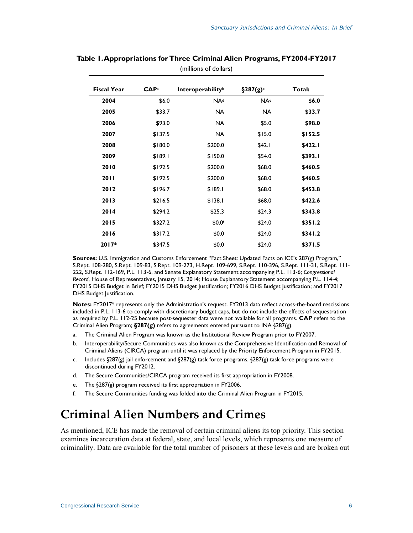| <b>Fiscal Year</b> | CAP <sub>a</sub> | <b>Interoperability</b> <sup>b</sup> | $\S 287(g)$ | Total:  |
|--------------------|------------------|--------------------------------------|-------------|---------|
| 2004               | \$6.0            | NA <sup>d</sup>                      | <b>NA</b> e | \$6.0   |
| 2005               | \$33.7           | <b>NA</b>                            | NA.         | \$33.7  |
| 2006               | \$93.0           | <b>NA</b>                            | \$5.0       | \$98.0  |
| 2007               | \$137.5          | <b>NA</b>                            | \$15.0      | \$152.5 |
| 2008               | \$180.0          | \$200.0                              | \$42.1      | \$422.1 |
| 2009               | \$189.1          | \$150.0                              | \$54.0      | \$393.I |
| 2010               | \$192.5          | \$200.0                              | \$68.0      | \$460.5 |
| <b>2011</b>        | \$192.5          | \$200.0                              | \$68.0      | \$460.5 |
| 2012               | \$196.7          | \$189.1                              | \$68.0      | \$453.8 |
| 2013               | \$216.5          | \$138.1                              | \$68.0      | \$422.6 |
| 2014               | \$294.2          | \$25.3                               | \$24.3      | \$343.8 |
| 2015               | \$327.2          | \$0.0f                               | \$24.0      | \$351.2 |
| 2016               | \$317.2          | \$0.0                                | \$24.0      | \$341.2 |
| $2017*$            | \$347.5          | \$0.0                                | \$24.0      | \$371.5 |

#### <span id="page-9-0"></span>**Table 1. Appropriations for Three Criminal Alien Programs, FY2004-FY2017** (millions of dollars)

**Sources:** U.S. Immigration and Customs Enforcement "Fact Sheet: Updated Facts on ICE's 287(g) Program," S.Rept. 108-280, [S.Rept. 109-83,](http://www.congress.gov/cgi-lis/cpquery/R?cp109:FLD010:@1(sr83):) S.Rept. 109-273, [H.Rept. 109-699,](http://www.congress.gov/cgi-lis/cpquery/R?cp109:FLD010:@1(hr699):) S.Rept. 110-396, [S.Rept. 111-31,](http://www.congress.gov/cgi-lis/cpquery/R?cp111:FLD010:@1(sr31):) S.Rept. 111- 222, [S.Rept. 112-169,](http://www.congress.gov/cgi-lis/cpquery/R?cp112:FLD010:@1(sr169):) P.L. 113-6, and Senate Explanatory Statement accompanying [P.L. 113-6;](http://www.congress.gov/cgi-lis/bdquery/R?d113:FLD002:@1(113+6)) *Congressional Record*, House of Representatives, January 15, 2014; House Explanatory Statement accompanying P.L. 114-4; FY2015 DHS Budget in Brief; FY2015 DHS Budget Justification; FY2016 DHS Budget Justification; and FY2017 DHS Budget Justification.

**Notes:** FY2017\* represents only the Administration's request. FY2013 data reflect across-the-board rescissions included in [P.L. 113-6](http://www.congress.gov/cgi-lis/bdquery/R?d113:FLD002:@1(113+6)) to comply with discretionary budget caps, but do not include the effects of sequestration as required by P.L. 112-25 because post-sequester data were not available for all programs. **CAP** refers to the Criminal Alien Program; **§287(g)** refers to agreements entered pursuant to INA §287(g).

- <span id="page-9-1"></span>a. The Criminal Alien Program was known as the Institutional Review Program prior to FY2007.
- <span id="page-9-2"></span>b. Interoperability/Secure Communities was also known as the Comprehensive Identification and Removal of Criminal Aliens (CIRCA) program until it was replaced by the Priority Enforcement Program in FY2015.
- <span id="page-9-3"></span>c. Includes §287(g) jail enforcement and §287(g) task force programs. §287(g) task force programs were discontinued during FY2012.
- <span id="page-9-4"></span>d. The Secure Communities/CIRCA program received its first appropriation in FY2008.
- <span id="page-9-5"></span>e. The §287(g) program received its first appropriation in FY2006.
- <span id="page-9-6"></span>f. The Secure Communities funding was folded into the Criminal Alien Program in FY2015.

### **Criminal Alien Numbers and Crimes**

As mentioned, ICE has made the removal of certain criminal aliens its top priority. This section examines incarceration data at federal, state, and local levels, which represents one measure of criminality. Data are available for the total number of prisoners at these levels and are broken out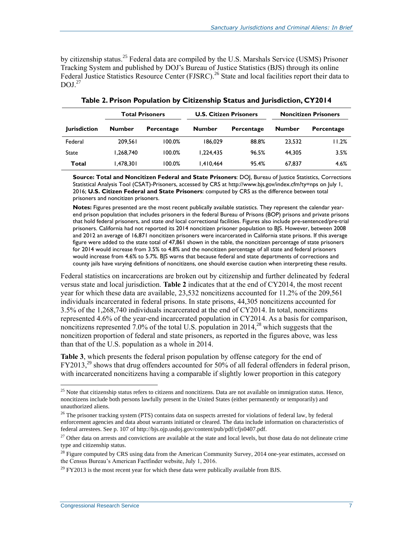by citizenship status.<sup>25</sup> Federal data are compiled by the U.S. Marshals Service (USMS) Prisoner Tracking System and published by DOJ's Bureau of Justice Statistics (BJS) through its online Federal Justice Statistics Resource Center (FJSRC).<sup>26</sup> State and local facilities report their data to DOJ.<sup>27</sup>

<span id="page-10-0"></span>

|                     | <b>Total Prisoners</b> |            | <b>U.S. Citizen Prisoners</b> |            | <b>Noncitizen Prisoners</b> |            |  |
|---------------------|------------------------|------------|-------------------------------|------------|-----------------------------|------------|--|
| <b>Jurisdiction</b> | <b>Number</b>          | Percentage | <b>Number</b>                 | Percentage | <b>Number</b>               | Percentage |  |
| Federal             | 209.561                | 100.0%     | 186.029                       | 88.8%      | 23.532                      | 11.2%      |  |
| State               | 1,268,740              | 100.0%     | 1.224.435                     | 96.5%      | 44.305                      | 3.5%       |  |
| Total               | 1,478,301              | 100.0%     | 1.410.464                     | 95.4%      | 67.837                      | 4.6%       |  |

**Table 2. Prison Population by Citizenship Status and Jurisdiction, CY2014**

**Source: Total and Noncitizen Federal and State Prisoners**: DOJ, Bureau of Justice Statistics, Corrections Statistical Analysis Tool (CSAT)-Prisoners, accessed by CRS a[t http://www.bjs.gov/index.cfm?ty=nps](http://www.bjs.gov/index.cfm?ty=nps) on July 1, 2016; **U.S. Citizen Federal and State Prisoners**: computed by CRS as the difference between total prisoners and noncitizen prisoners.

**Notes:** Figures presented are the most recent publically available statistics. They represent the calendar yearend prison population that includes prisoners in the federal Bureau of Prisons (BOP) prisons and private prisons that hold federal prisoners, and state *and* local correctional facilities. Figures also include pre-sentenced/pre-trial prisoners. California had not reported its 2014 noncitizen prisoner population to BJS. However, between 2008 and 2012 an average of 16,871 noncitizen prisoners were incarcerated in California state prisons. If this average figure were added to the state total of 47,861 shown in the table, the noncitizen percentage of state prisoners for 2014 would increase from 3.5% to 4.8% and the noncitizen percentage of all state and federal prisoners would increase from 4.6% to 5.7%. BJS warns that because federal and state departments of corrections and county jails have varying definitions of noncitizens, one should exercise caution when interpreting these results.

Federal statistics on incarcerations are broken out by citizenship and further delineated by federal versus state and local jurisdiction. **[Table 2](#page-10-0)** indicates that at the end of CY2014, the most recent year for which these data are available, 23,532 noncitizens accounted for 11.2% of the 209,561 individuals incarcerated in federal prisons. In state prisons, 44,305 noncitizens accounted for 3.5% of the 1,268,740 individuals incarcerated at the end of CY2014. In total, noncitizens represented 4.6% of the year-end incarcerated population in CY2014. As a basis for comparison, noncitizens represented 7.0% of the total U.S. population in  $2014<sup>28</sup>$  which suggests that the noncitizen proportion of federal and state prisoners, as reported in the figures above, was less than that of the U.S. population as a whole in 2014.

**[Table 3](#page-11-0)**, which presents the federal prison population by offense category for the end of FY2013,<sup>29</sup> shows that drug offenders accounted for 50% of all federal offenders in federal prison, with incarcerated noncitizens having a comparable if slightly lower proportion in this category

 $^{25}$  Note that citizenship status refers to citizens and noncitizens. Data are not available on immigration status. Hence, noncitizens include both persons lawfully present in the United States (either permanently or temporarily) and unauthorized aliens.

<sup>&</sup>lt;sup>26</sup> The prisoner tracking system (PTS) contains data on suspects arrested for violations of federal law, by federal enforcement agencies and data about warrants initiated or cleared. The data include information on characteristics of federal arrestees. See p. 107 of http://bjs.ojp.usdoj.gov/content/pub/pdf/cfjs0407.pdf.

 $27$  Other data on arrests and convictions are available at the state and local levels, but those data do not delineate crime type and citizenship status.

 $28$  Figure computed by CRS using data from the American Community Survey, 2014 one-year estimates, accessed on the Census Bureau's American Factfinder website, July 1, 2016.

 $^{29}$  FY2013 is the most recent year for which these data were publically available from BJS.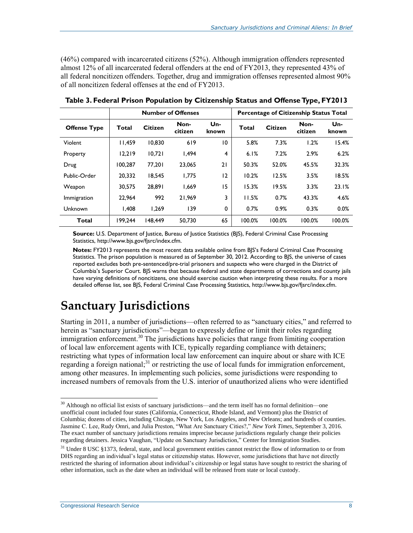(46%) compared with incarcerated citizens (52%). Although immigration offenders represented almost 12% of all incarcerated federal offenders at the end of FY2013, they represented 43% of all federal noncitizen offenders. Together, drug and immigration offenses represented almost 90% of all noncitizen federal offenses at the end of FY2013.

|                     | <b>Number of Offenses</b> |                |                 | Percentage of Citizenship Status Total |              |                |                 |              |
|---------------------|---------------------------|----------------|-----------------|----------------------------------------|--------------|----------------|-----------------|--------------|
| <b>Offense Type</b> | Total                     | <b>Citizen</b> | Non-<br>citizen | Un-<br>known                           | <b>Total</b> | <b>Citizen</b> | Non-<br>citizen | Un-<br>known |
| Violent             | 11.459                    | 10.830         | 619             | 10                                     | 5.8%         | 7.3%           | 1.2%            | 15.4%        |
| Property            | 12.219                    | 10.721         | 1.494           | 4                                      | 6.1%         | 7.2%           | 2.9%            | 6.2%         |
| Drug                | 100.287                   | 77.201         | 23.065          | 21                                     | 50.3%        | 52.0%          | 45.5%           | 32.3%        |
| Public-Order        | 20.332                    | 18.545         | 1,775           | 12                                     | 10.2%        | 12.5%          | 3.5%            | 18.5%        |
| Weapon              | 30.575                    | 28.891         | 1.669           | 15                                     | 15.3%        | 19.5%          | 3.3%            | 23.1%        |
| Immigration         | 22,964                    | 992            | 21.969          | 3                                      | 11.5%        | 0.7%           | 43.3%           | 4.6%         |
| Unknown             | 1.408                     | 1.269          | 139             | 0                                      | 0.7%         | 0.9%           | 0.3%            | 0.0%         |
| <b>Total</b>        | 199.244                   | 148.449        | 50,730          | 65                                     | 100.0%       | 100.0%         | 100.0%          | 100.0%       |

<span id="page-11-0"></span>**Table 3. Federal Prison Population by Citizenship Status and Offense Type, FY2013**

**Source:** U.S. Department of Justice, Bureau of Justice Statistics (BJS), Federal Criminal Case Processing Statistics, http://www.bjs.gov/fjsrc/index.cfm.

**Notes:** FY2013 represents the most recent data available online from BJS's Federal Criminal Case Processing Statistics. The prison population is measured as of September 30, 2012. According to BJS, the universe of cases reported excludes both pre-sentenced/pre-trial prisoners and suspects who were charged in the District of Columbia's Superior Court. BJS warns that because federal and state departments of corrections and county jails have varying definitions of noncitizens, one should exercise caution when interpreting these results. For a more detailed offense list, see BJS, Federal Criminal Case Processing Statistics, [http://www.bjs.gov/fjsrc/index.cfm.](http://www.bjs.gov/fjsrc/index.cfm)

### **Sanctuary Jurisdictions**

Starting in 2011, a number of jurisdictions—often referred to as "sanctuary cities," and referred to herein as "sanctuary jurisdictions"—began to expressly define or limit their roles regarding immigration enforcement.<sup>30</sup> The jurisdictions have policies that range from limiting cooperation of local law enforcement agents with ICE, typically regarding compliance with detainers; restricting what types of information local law enforcement can inquire about or share with ICE regarding a foreign national;<sup>31</sup> or restricting the use of local funds for immigration enforcement, among other measures. In implementing such policies, some jurisdictions were responding to increased numbers of removals from the U.S. interior of unauthorized aliens who were identified

<sup>&</sup>lt;sup>30</sup> Although no official list exists of sanctuary jurisdictions—and the term itself has no formal definition—one unofficial count included four states (California, Connecticut, Rhode Island, and Vermont) plus the District of Columbia; dozens of cities, including Chicago, New York, Los Angeles, and New Orleans; and hundreds of counties. Jasmine C. Lee, Rudy Omri, and Julia Preston, "What Are Sanctuary Cities?," *New York Times*, September 3, 2016. The exact number of sanctuary jurisdictions remains imprecise because jurisdictions regularly change their policies regarding detainers. Jessica Vaughan, "Update on Sanctuary Jurisdiction," Center for Immigration Studies.

 $31$  Under 8 USC §1373, federal, state, and local government entities cannot restrict the flow of information to or from DHS regarding an individual's legal status or citizenship status. However, some jurisdictions that have not directly restricted the sharing of information about individual's citizenship or legal status have sought to restrict the sharing of other information, such as the date when an individual will be released from state or local custody.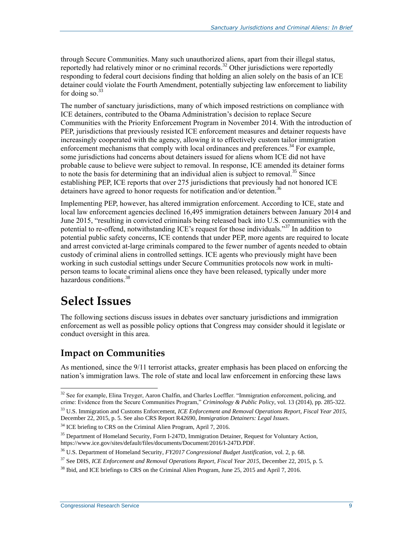through Secure Communities. Many such unauthorized aliens, apart from their illegal status, reportedly had relatively minor or no criminal records.<sup>32</sup> Other jurisdictions were reportedly responding to federal court decisions finding that holding an alien solely on the basis of an ICE detainer could violate the Fourth Amendment, potentially subjecting law enforcement to liability for doing so. $33$ 

The number of sanctuary jurisdictions, many of which imposed restrictions on compliance with ICE detainers, contributed to the Obama Administration's decision to replace Secure Communities with the Priority Enforcement Program in November 2014. With the introduction of PEP, jurisdictions that previously resisted ICE enforcement measures and detainer requests have increasingly cooperated with the agency, allowing it to effectively custom tailor immigration enforcement mechanisms that comply with local ordinances and preferences.<sup>34</sup> For example, some jurisdictions had concerns about detainers issued for aliens whom ICE did not have probable cause to believe were subject to removal. In response, ICE amended its detainer forms to note the basis for determining that an individual alien is subject to removal.<sup>35</sup> Since establishing PEP, ICE reports that over 275 jurisdictions that previously had not honored ICE detainers have agreed to honor requests for notification and/or detention.<sup>36</sup>

Implementing PEP, however, has altered immigration enforcement. According to ICE, state and local law enforcement agencies declined 16,495 immigration detainers between January 2014 and June 2015, "resulting in convicted criminals being released back into U.S. communities with the potential to re-offend, notwithstanding ICE's request for those individuals."<sup>37</sup> In addition to potential public safety concerns, ICE contends that under PEP, more agents are required to locate and arrest convicted at-large criminals compared to the fewer number of agents needed to obtain custody of criminal aliens in controlled settings. ICE agents who previously might have been working in such custodial settings under Secure Communities protocols now work in multiperson teams to locate criminal aliens once they have been released, typically under more hazardous conditions.<sup>38</sup>

### **Select Issues**

The following sections discuss issues in debates over sanctuary jurisdictions and immigration enforcement as well as possible policy options that Congress may consider should it legislate or conduct oversight in this area.

#### **Impact on Communities**

As mentioned, since the 9/11 terrorist attacks, greater emphasis has been placed on enforcing the nation's immigration laws. The role of state and local law enforcement in enforcing these laws

 $\overline{a}$ <sup>32</sup> See for example, Elina Treyger, Aaron Chalfin, and Charles Loeffler. "Immigration enforcement, policing, and crime: Evidence from the Secure Communities Program," *Criminology & Public Policy*, vol. 13 (2014), pp. 285-322.

<sup>33</sup> U.S. Immigration and Customs Enforcement, *ICE Enforcement and Removal Operations Report, Fiscal Year 2015*, December 22, 2015, p. 5. See also CRS Report R42690, *Immigration Detainers: Legal Issues*.

 $34$  ICE briefing to CRS on the Criminal Alien Program, April 7, 2016.

<sup>&</sup>lt;sup>35</sup> Department of Homeland Security, Form I-247D, Immigration Detainer, Request for Voluntary Action, https://www.ice.gov/sites/default/files/documents/Document/2016/I-247D.PDF.

<sup>36</sup> U.S. Department of Homeland Security, *FY2017 Congressional Budget Justification*, vol. 2, p. 68.

<sup>37</sup> See DHS, *ICE Enforcement and Removal Operations Report, Fiscal Year 2015*, December 22, 2015, p. 5.

<sup>&</sup>lt;sup>38</sup> Ibid, and ICE briefings to CRS on the Criminal Alien Program, June 25, 2015 and April 7, 2016.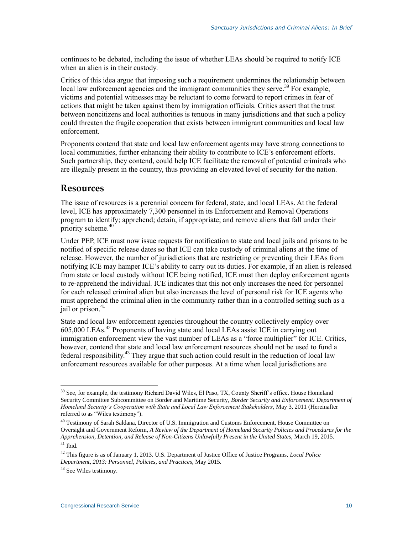continues to be debated, including the issue of whether LEAs should be required to notify ICE when an alien is in their custody.

Critics of this idea argue that imposing such a requirement undermines the relationship between local law enforcement agencies and the immigrant communities they serve.<sup>39</sup> For example, victims and potential witnesses may be reluctant to come forward to report crimes in fear of actions that might be taken against them by immigration officials. Critics assert that the trust between noncitizens and local authorities is tenuous in many jurisdictions and that such a policy could threaten the fragile cooperation that exists between immigrant communities and local law enforcement.

Proponents contend that state and local law enforcement agents may have strong connections to local communities, further enhancing their ability to contribute to ICE's enforcement efforts. Such partnership, they contend, could help ICE facilitate the removal of potential criminals who are illegally present in the country, thus providing an elevated level of security for the nation.

#### **Resources**

The issue of resources is a perennial concern for federal, state, and local LEAs. At the federal level, ICE has approximately 7,300 personnel in its Enforcement and Removal Operations program to identify; apprehend; detain, if appropriate; and remove aliens that fall under their priority scheme.<sup>40</sup>

Under PEP, ICE must now issue requests for notification to state and local jails and prisons to be notified of specific release dates so that ICE can take custody of criminal aliens at the time of release. However, the number of jurisdictions that are restricting or preventing their LEAs from notifying ICE may hamper ICE's ability to carry out its duties. For example, if an alien is released from state or local custody without ICE being notified, ICE must then deploy enforcement agents to re-apprehend the individual. ICE indicates that this not only increases the need for personnel for each released criminal alien but also increases the level of personal risk for ICE agents who must apprehend the criminal alien in the community rather than in a controlled setting such as a jail or prison. 41

State and local law enforcement agencies throughout the country collectively employ over 605,000 LEAs.<sup>42</sup> Proponents of having state and local LEAs assist ICE in carrying out immigration enforcement view the vast number of LEAs as a "force multiplier" for ICE. Critics, however, contend that state and local law enforcement resources should not be used to fund a federal responsibility.<sup>43</sup> They argue that such action could result in the reduction of local law enforcement resources available for other purposes. At a time when local jurisdictions are

 $\overline{a}$ <sup>39</sup> See, for example, the testimony Richard David Wiles, El Paso, TX, County Sheriff's office. House Homeland Security Committee Subcommittee on Border and Maritime Security, *Border Security and Enforcement: Department of Homeland Security's Cooperation with State and Local Law Enforcement Stakeholders*, May 3, 2011 (Hereinafter referred to as "Wiles testimony").

<sup>40</sup> Testimony of Sarah Saldana, Director of U.S. Immigration and Customs Enforcement, House Committee on Oversight and Government Reform, *A Review of the Department of Homeland Security Policies and Procedures for the Apprehension, Detention, and Release of Non-Citizens Unlawfully Present in the United States*, March 19, 2015.  $41$  Ibid.

<sup>42</sup> This figure is as of January 1, 2013. U.S. Department of Justice Office of Justice Programs, *Local Police Department, 2013: Personnel, Policies, and Practices*, May 2015.

<sup>&</sup>lt;sup>43</sup> See Wiles testimony.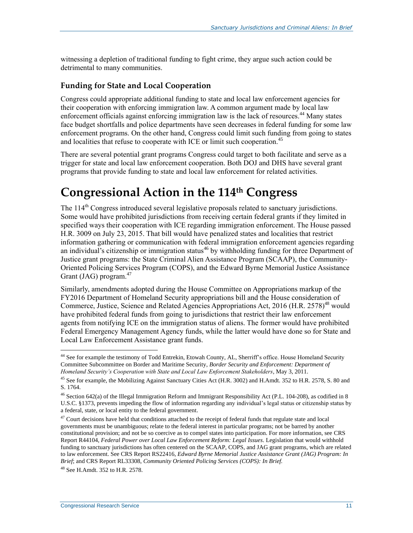witnessing a depletion of traditional funding to fight crime, they argue such action could be detrimental to many communities.

#### **Funding for State and Local Cooperation**

Congress could appropriate additional funding to state and local law enforcement agencies for their cooperation with enforcing immigration law. A common argument made by local law enforcement officials against enforcing immigration law is the lack of resources.<sup>44</sup> Many states face budget shortfalls and police departments have seen decreases in federal funding for some law enforcement programs. On the other hand, Congress could limit such funding from going to states and localities that refuse to cooperate with ICE or limit such cooperation.<sup>45</sup>

There are several potential grant programs Congress could target to both facilitate and serve as a trigger for state and local law enforcement cooperation. Both DOJ and DHS have several grant programs that provide funding to state and local law enforcement for related activities.

### **Congressional Action in the 114th Congress**

The  $114<sup>th</sup>$  Congress introduced several legislative proposals related to sanctuary jurisdictions. Some would have prohibited jurisdictions from receiving certain federal grants if they limited in specified ways their cooperation with ICE regarding immigration enforcement. The House passed H.R. 3009 on July 23, 2015. That bill would have penalized states and localities that restrict information gathering or communication with federal immigration enforcement agencies regarding an individual's citizenship or immigration status<sup>46</sup> by withholding funding for three Department of Justice grant programs: the State Criminal Alien Assistance Program (SCAAP), the Community-Oriented Policing Services Program (COPS), and the Edward Byrne Memorial Justice Assistance Grant (JAG) program.<sup>47</sup>

Similarly, amendments adopted during the House Committee on Appropriations markup of the FY2016 Department of Homeland Security appropriations bill and the House consideration of Commerce, Justice, Science and Related Agencies Appropriations Act, 2016 [\(H.R. 2578\)](http://www.congress.gov/cgi-lis/bdquery/z?d114:H.R.2578:)<sup>48</sup> would have prohibited federal funds from going to jurisdictions that restrict their law enforcement agents from notifying ICE on the immigration status of aliens. The former would have prohibited Federal Emergency Management Agency funds, while the latter would have done so for State and Local Law Enforcement Assistance grant funds.

 $\overline{a}$ <sup>44</sup> See for example the testimony of Todd Entrekin, Etowah County, AL, Sherriff's office. House Homeland Security Committee Subcommittee on Border and Maritime Security, *Border Security and Enforcement: Department of Homeland Security's Cooperation with State and Local Law Enforcement Stakeholders*, May 3, 2011.

<sup>&</sup>lt;sup>45</sup> See for example, the Mobilizing Against Sanctuary Cities Act (H.R. 3002) and H.Amdt. 352 to H.R. 2578, S. 80 and S. 1764.

 $46$  Section 642(a) of the Illegal Immigration Reform and Immigrant Responsibility Act (P.L. 104-208), as codified in 8 U.S.C. §1373, prevents impeding the flow of information regarding any individual's legal status or citizenship status by a federal, state, or local entity to the federal government.

 $47$  Court decisions have held that conditions attached to the receipt of federal funds that regulate state and local governments must be unambiguous; relate to the federal interest in particular programs; not be barred by another constitutional provision; and not be so coercive as to compel states into participation. For more information, see CRS Report R44104, *Federal Power over Local Law Enforcement Reform: Legal Issues*. Legislation that would withhold funding to sanctuary jurisdictions has often centered on the SCAAP, COPS, and JAG grant programs, which are related to law enforcement. See CRS Report RS22416, *Edward Byrne Memorial Justice Assistance Grant (JAG) Program: In Brief*; and CRS Report RL33308, *Community Oriented Policing Services (COPS): In Brief.*

<sup>48</sup> See H.Amdt. 352 to H.R. 2578.